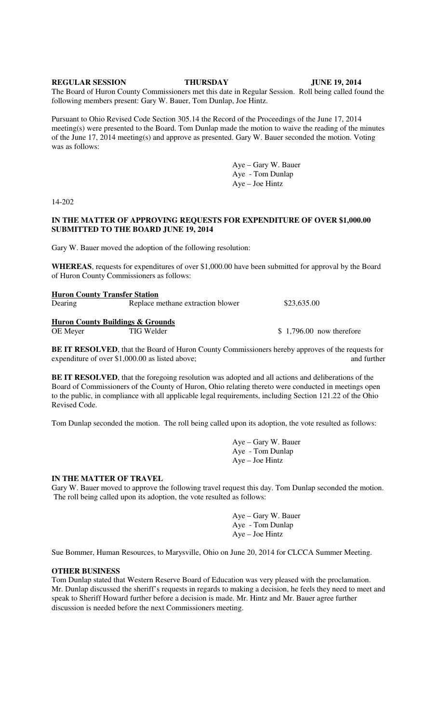**REGULAR SESSION THURSDAY JUNE 19, 2014** 

The Board of Huron County Commissioners met this date in Regular Session. Roll being called found the following members present: Gary W. Bauer, Tom Dunlap, Joe Hintz.

Pursuant to Ohio Revised Code Section 305.14 the Record of the Proceedings of the June 17, 2014 meeting(s) were presented to the Board. Tom Dunlap made the motion to waive the reading of the minutes of the June 17, 2014 meeting(s) and approve as presented. Gary W. Bauer seconded the motion. Voting was as follows:

> Aye – Gary W. Bauer Aye - Tom Dunlap Aye – Joe Hintz

14-202

#### **IN THE MATTER OF APPROVING REQUESTS FOR EXPENDITURE OF OVER \$1,000.00 SUBMITTED TO THE BOARD JUNE 19, 2014**

Gary W. Bauer moved the adoption of the following resolution:

**WHEREAS**, requests for expenditures of over \$1,000.00 have been submitted for approval by the Board of Huron County Commissioners as follows:

| <b>Huron County Transfer Station</b> |                                             |                           |
|--------------------------------------|---------------------------------------------|---------------------------|
| Dearing                              | Replace methane extraction blower           | \$23,635.00               |
|                                      | <b>Huron County Buildings &amp; Grounds</b> |                           |
| OE Meyer                             | TIG Welder                                  | $$1,796.00$ now therefore |

**BE IT RESOLVED**, that the Board of Huron County Commissioners hereby approves of the requests for expenditure of over \$1,000.00 as listed above; and further

**BE IT RESOLVED**, that the foregoing resolution was adopted and all actions and deliberations of the Board of Commissioners of the County of Huron, Ohio relating thereto were conducted in meetings open to the public, in compliance with all applicable legal requirements, including Section 121.22 of the Ohio Revised Code.

Tom Dunlap seconded the motion. The roll being called upon its adoption, the vote resulted as follows:

 Aye – Gary W. Bauer Aye - Tom Dunlap Aye – Joe Hintz

#### **IN THE MATTER OF TRAVEL**

Gary W. Bauer moved to approve the following travel request this day. Tom Dunlap seconded the motion. The roll being called upon its adoption, the vote resulted as follows:

> Aye – Gary W. Bauer Aye - Tom Dunlap Aye – Joe Hintz

Sue Bommer, Human Resources, to Marysville, Ohio on June 20, 2014 for CLCCA Summer Meeting.

#### **OTHER BUSINESS**

Tom Dunlap stated that Western Reserve Board of Education was very pleased with the proclamation. Mr. Dunlap discussed the sheriff's requests in regards to making a decision, he feels they need to meet and speak to Sheriff Howard further before a decision is made. Mr. Hintz and Mr. Bauer agree further discussion is needed before the next Commissioners meeting.